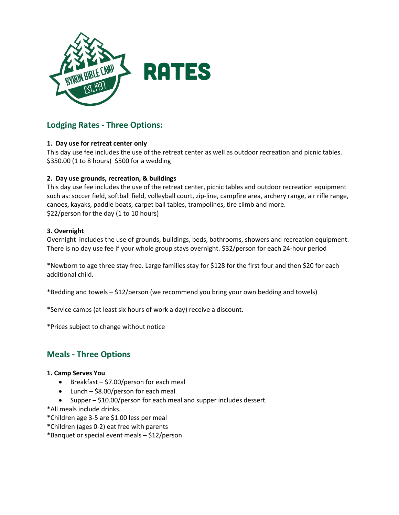

# **Lodging Rates - Three Options:**

# **1. Day use for retreat center only**

This day use fee includes the use of the retreat center as well as outdoor recreation and picnic tables. \$350.00 (1 to 8 hours) \$500 for a wedding

# **2. Day use grounds, recreation, & buildings**

This day use fee includes the use of the retreat center, picnic tables and outdoor recreation equipment such as: soccer field, softball field, volleyball court, zip-line, campfire area, archery range, air rifle range, canoes, kayaks, paddle boats, carpet ball tables, trampolines, tire climb and more. \$22/person for the day (1 to 10 hours)

### **3. Overnight**

Overnight includes the use of grounds, buildings, beds, bathrooms, showers and recreation equipment. There is no day use fee if your whole group stays overnight. \$32/person for each 24-hour period

\*Newborn to age three stay free. Large families stay for \$128 for the first four and then \$20 for each additional child.

\*Bedding and towels – \$12/person (we recommend you bring your own bedding and towels)

\*Service camps (at least six hours of work a day) receive a discount.

\*Prices subject to change without notice

# **Meals - Three Options**

### **1. Camp Serves You**

- **•** Breakfast  $-$  \$7.00/person for each meal
- Lunch \$8.00/person for each meal
- Supper \$10.00/person for each meal and supper includes dessert.
- \*All meals include drinks.
- \*Children age 3-5 are \$1.00 less per meal

\*Children (ages 0-2) eat free with parents

\*Banquet or special event meals – \$12/person